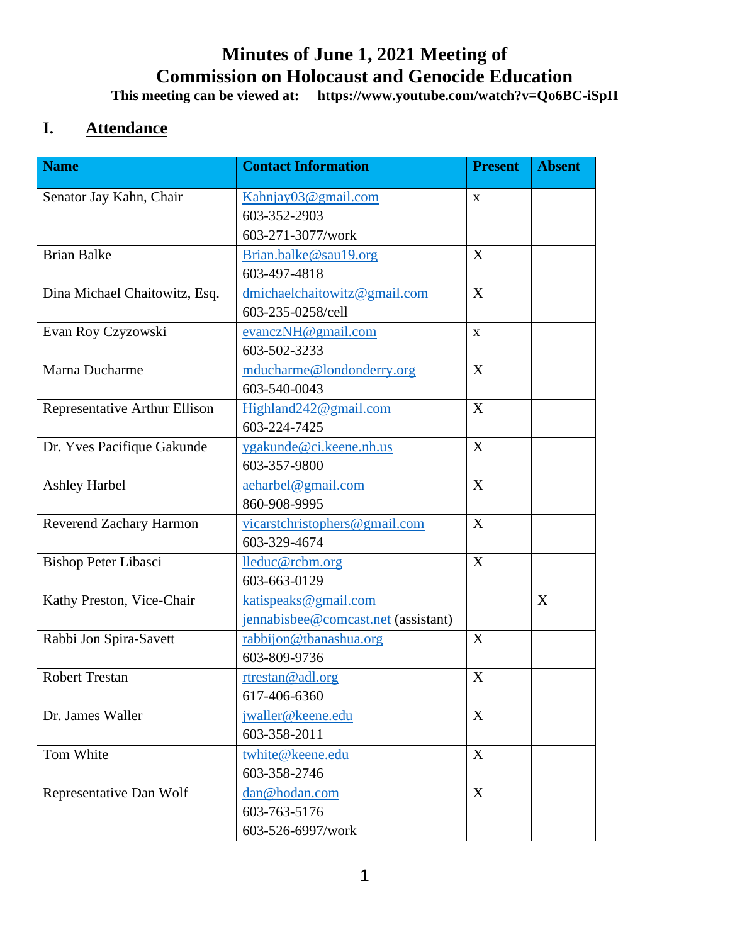# **Minutes of June 1, 2021 Meeting of Commission on Holocaust and Genocide Education**

**This meeting can be viewed at: https://www.youtube.com/watch?v=Qo6BC-iSpII**

## **I. Attendance**

| <b>Name</b>                   | <b>Contact Information</b>                                  | <b>Present</b>            | <b>Absent</b> |
|-------------------------------|-------------------------------------------------------------|---------------------------|---------------|
| Senator Jay Kahn, Chair       | Kahnjay03@gmail.com<br>603-352-2903<br>603-271-3077/work    | X                         |               |
| <b>Brian Balke</b>            | Brian.balke@sau19.org<br>603-497-4818                       | X                         |               |
| Dina Michael Chaitowitz, Esq. | dmichaelchaitowitz@gmail.com<br>603-235-0258/cell           | X                         |               |
| Evan Roy Czyzowski            | evanczNH@gmail.com<br>603-502-3233                          | $\mathbf X$               |               |
| Marna Ducharme                | mducharme@londonderry.org<br>603-540-0043                   | $\boldsymbol{X}$          |               |
| Representative Arthur Ellison | Highland242@gmail.com<br>603-224-7425                       | X                         |               |
| Dr. Yves Pacifique Gakunde    | ygakunde@ci.keene.nh.us<br>603-357-9800                     | X                         |               |
| <b>Ashley Harbel</b>          | aeharbel@gmail.com<br>860-908-9995                          | X                         |               |
| Reverend Zachary Harmon       | vicarstchristophers@gmail.com<br>603-329-4674               | $\boldsymbol{X}$          |               |
| <b>Bishop Peter Libasci</b>   | lleduc@rcbm.org<br>603-663-0129                             | X                         |               |
| Kathy Preston, Vice-Chair     | katispeaks@gmail.com<br>jennabisbee@comcast.net (assistant) |                           | X             |
| Rabbi Jon Spira-Savett        | rabbijon@tbanashua.org<br>603-809-9736                      | $\boldsymbol{X}$          |               |
| <b>Robert Trestan</b>         | rtrestan@adl.org<br>617-406-6360                            | $\boldsymbol{\mathrm{X}}$ |               |
| Dr. James Waller              | jwaller@keene.edu<br>603-358-2011                           | X                         |               |
| Tom White                     | twhite@keene.edu<br>603-358-2746                            | $\boldsymbol{X}$          |               |
| Representative Dan Wolf       | dan@hodan.com<br>603-763-5176<br>603-526-6997/work          | X                         |               |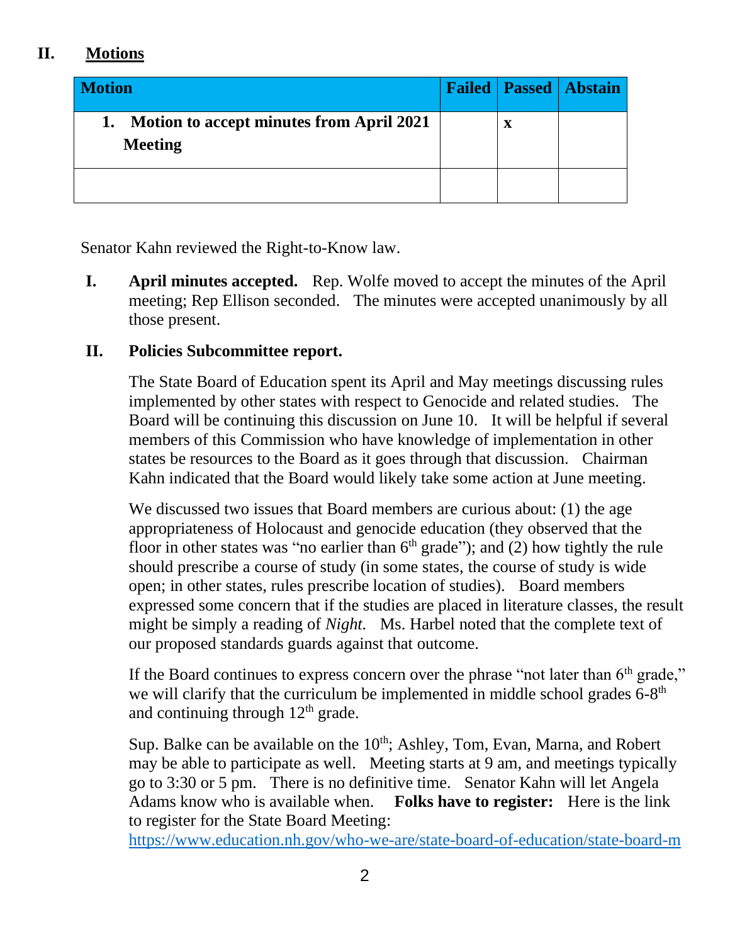### **II. Motions**

| <b>Motion</b>                                                     |             | <b>Failed   Passed   Abstain</b> |
|-------------------------------------------------------------------|-------------|----------------------------------|
| <b>Motion to accept minutes from April 2021</b><br><b>Meeting</b> | $\mathbf X$ |                                  |
|                                                                   |             |                                  |

Senator Kahn reviewed the Right-to-Know law.

**I. April minutes accepted.** Rep. Wolfe moved to accept the minutes of the April meeting; Rep Ellison seconded. The minutes were accepted unanimously by all those present.

#### **II. Policies Subcommittee report.**

The State Board of Education spent its April and May meetings discussing rules implemented by other states with respect to Genocide and related studies. The Board will be continuing this discussion on June 10. It will be helpful if several members of this Commission who have knowledge of implementation in other states be resources to the Board as it goes through that discussion. Chairman Kahn indicated that the Board would likely take some action at June meeting.

We discussed two issues that Board members are curious about: (1) the age appropriateness of Holocaust and genocide education (they observed that the floor in other states was "no earlier than  $6<sup>th</sup>$  grade"); and (2) how tightly the rule should prescribe a course of study (in some states, the course of study is wide open; in other states, rules prescribe location of studies). Board members expressed some concern that if the studies are placed in literature classes, the result might be simply a reading of *Night.* Ms. Harbel noted that the complete text of our proposed standards guards against that outcome.

If the Board continues to express concern over the phrase "not later than 6<sup>th</sup> grade," we will clarify that the curriculum be implemented in middle school grades  $6-8<sup>th</sup>$ and continuing through  $12<sup>th</sup>$  grade.

Sup. Balke can be available on the  $10<sup>th</sup>$ ; Ashley, Tom, Evan, Marna, and Robert may be able to participate as well. Meeting starts at 9 am, and meetings typically go to 3:30 or 5 pm. There is no definitive time. Senator Kahn will let Angela Adams know who is available when. **Folks have to register:** Here is the link to register for the State Board Meeting:

[https://www.education.nh.gov/who-we-are/state-board-of-education/state-board-m](https://www.education.nh.gov/who-we-are/state-board-of-education/state-board-meetings-and-minutes/2021-state-board-meetings)